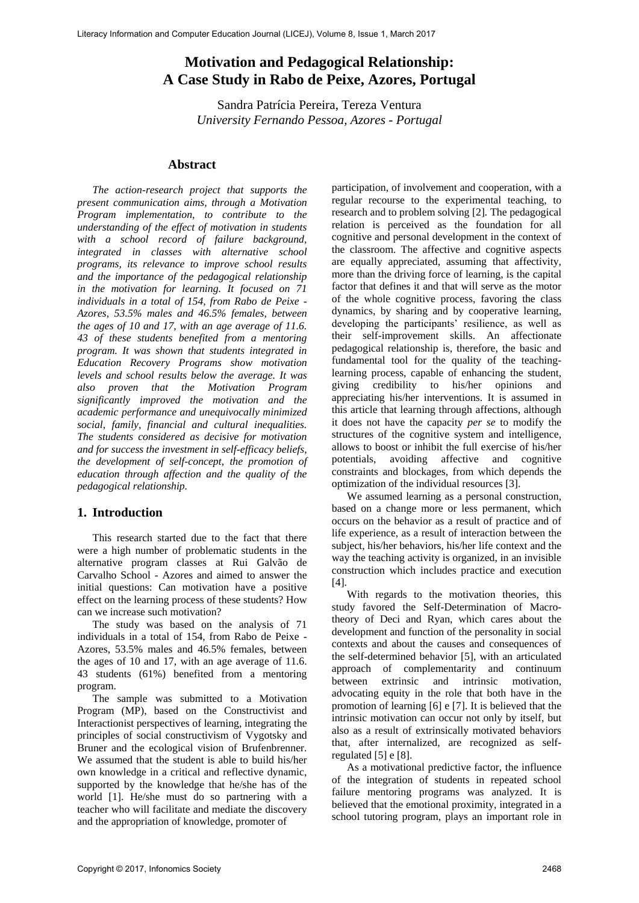# **Motivation and Pedagogical Relationship: A Case Study in Rabo de Peixe, Azores, Portugal**

Sandra Patrícia Pereira, Tereza Ventura *University Fernando Pessoa, Azores - Portugal* 

#### **Abstract**

*The action-research project that supports the present communication aims, through a Motivation Program implementation, to contribute to the understanding of the effect of motivation in students with a school record of failure background, integrated in classes with alternative school programs, its relevance to improve school results and the importance of the pedagogical relationship in the motivation for learning. It focused on 71 individuals in a total of 154, from Rabo de Peixe - Azores, 53.5% males and 46.5% females, between the ages of 10 and 17, with an age average of 11.6. 43 of these students benefited from a mentoring program. It was shown that students integrated in Education Recovery Programs show motivation levels and school results below the average. It was also proven that the Motivation Program significantly improved the motivation and the academic performance and unequivocally minimized social, family, financial and cultural inequalities. The students considered as decisive for motivation and for success the investment in self-efficacy beliefs, the development of self-concept, the promotion of education through affection and the quality of the pedagogical relationship.* 

### **1. Introduction**

This research started due to the fact that there were a high number of problematic students in the alternative program classes at Rui Galvão de Carvalho School - Azores and aimed to answer the initial questions: Can motivation have a positive effect on the learning process of these students? How can we increase such motivation?

The study was based on the analysis of 71 individuals in a total of 154, from Rabo de Peixe - Azores, 53.5% males and 46.5% females, between the ages of 10 and 17, with an age average of 11.6. 43 students (61%) benefited from a mentoring program.

The sample was submitted to a Motivation Program (MP), based on the Constructivist and Interactionist perspectives of learning, integrating the principles of social constructivism of Vygotsky and Bruner and the ecological vision of Brufenbrenner. We assumed that the student is able to build his/her own knowledge in a critical and reflective dynamic, supported by the knowledge that he/she has of the world [1]. He/she must do so partnering with a teacher who will facilitate and mediate the discovery and the appropriation of knowledge, promoter of

participation, of involvement and cooperation, with a regular recourse to the experimental teaching, to research and to problem solving [2]*.* The pedagogical relation is perceived as the foundation for all cognitive and personal development in the context of the classroom. The affective and cognitive aspects are equally appreciated, assuming that affectivity, more than the driving force of learning, is the capital factor that defines it and that will serve as the motor of the whole cognitive process, favoring the class dynamics, by sharing and by cooperative learning, developing the participants' resilience, as well as their self-improvement skills. An affectionate pedagogical relationship is, therefore, the basic and fundamental tool for the quality of the teachinglearning process, capable of enhancing the student, giving credibility to his/her opinions and appreciating his/her interventions. It is assumed in this article that learning through affections, although it does not have the capacity *per se* to modify the structures of the cognitive system and intelligence, allows to boost or inhibit the full exercise of his/her potentials, avoiding affective and cognitive constraints and blockages, from which depends the optimization of the individual resources [3].

We assumed learning as a personal construction, based on a change more or less permanent, which occurs on the behavior as a result of practice and of life experience, as a result of interaction between the subject, his/her behaviors, his/her life context and the way the teaching activity is organized, in an invisible construction which includes practice and execution [4].

With regards to the motivation theories, this study favored the Self-Determination of Macrotheory of Deci and Ryan, which cares about the development and function of the personality in social contexts and about the causes and consequences of the self-determined behavior [5], with an articulated approach of complementarity and continuum between extrinsic and intrinsic motivation, advocating equity in the role that both have in the promotion of learning [6] e [7]. It is believed that the intrinsic motivation can occur not only by itself, but also as a result of extrinsically motivated behaviors that, after internalized, are recognized as selfregulated [5] e [8].

As a motivational predictive factor, the influence of the integration of students in repeated school failure mentoring programs was analyzed. It is believed that the emotional proximity, integrated in a school tutoring program, plays an important role in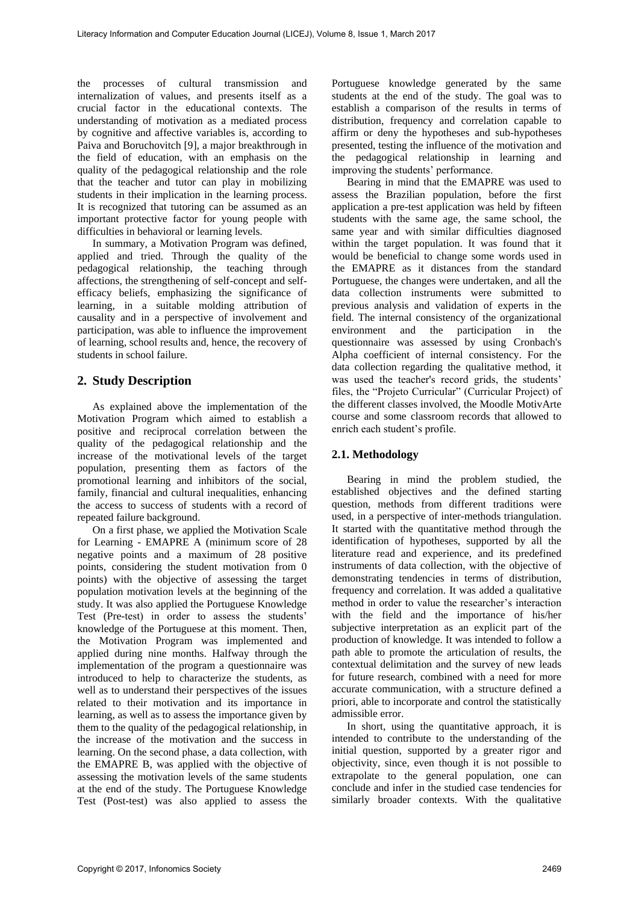the processes of cultural transmission and internalization of values, and presents itself as a crucial factor in the educational contexts. The understanding of motivation as a mediated process by cognitive and affective variables is, according to Paiva and Boruchovitch [9], a major breakthrough in the field of education, with an emphasis on the quality of the pedagogical relationship and the role that the teacher and tutor can play in mobilizing students in their implication in the learning process. It is recognized that tutoring can be assumed as an important protective factor for young people with difficulties in behavioral or learning levels.

In summary, a Motivation Program was defined, applied and tried. Through the quality of the pedagogical relationship, the teaching through affections, the strengthening of self-concept and selfefficacy beliefs, emphasizing the significance of learning, in a suitable molding attribution of causality and in a perspective of involvement and participation, was able to influence the improvement of learning, school results and, hence, the recovery of students in school failure.

## **2. Study Description**

As explained above the implementation of the Motivation Program which aimed to establish a positive and reciprocal correlation between the quality of the pedagogical relationship and the increase of the motivational levels of the target population, presenting them as factors of the promotional learning and inhibitors of the social, family, financial and cultural inequalities, enhancing the access to success of students with a record of repeated failure background.

On a first phase, we applied the Motivation Scale for Learning - EMAPRE A (minimum score of 28 negative points and a maximum of 28 positive points, considering the student motivation from 0 points) with the objective of assessing the target population motivation levels at the beginning of the study. It was also applied the Portuguese Knowledge Test (Pre-test) in order to assess the students' knowledge of the Portuguese at this moment. Then, the Motivation Program was implemented and applied during nine months. Halfway through the implementation of the program a questionnaire was introduced to help to characterize the students, as well as to understand their perspectives of the issues related to their motivation and its importance in learning, as well as to assess the importance given by them to the quality of the pedagogical relationship, in the increase of the motivation and the success in learning. On the second phase, a data collection, with the EMAPRE B, was applied with the objective of assessing the motivation levels of the same students at the end of the study. The Portuguese Knowledge Test (Post-test) was also applied to assess the

Portuguese knowledge generated by the same students at the end of the study. The goal was to establish a comparison of the results in terms of distribution, frequency and correlation capable to affirm or deny the hypotheses and sub-hypotheses presented, testing the influence of the motivation and the pedagogical relationship in learning and improving the students' performance.

Bearing in mind that the EMAPRE was used to assess the Brazilian population, before the first application a pre-test application was held by fifteen students with the same age, the same school, the same year and with similar difficulties diagnosed within the target population. It was found that it would be beneficial to change some words used in the EMAPRE as it distances from the standard Portuguese, the changes were undertaken, and all the data collection instruments were submitted to previous analysis and validation of experts in the field. The internal consistency of the organizational environment and the participation in the questionnaire was assessed by using Cronbach's Alpha coefficient of internal consistency. For the data collection regarding the qualitative method, it was used the teacher's record grids, the students' files, the "Projeto Curricular" (Curricular Project) of the different classes involved, the Moodle MotivArte course and some classroom records that allowed to enrich each student's profile.

### **2.1. Methodology**

Bearing in mind the problem studied, the established objectives and the defined starting question, methods from different traditions were used, in a perspective of inter-methods triangulation. It started with the quantitative method through the identification of hypotheses, supported by all the literature read and experience, and its predefined instruments of data collection, with the objective of demonstrating tendencies in terms of distribution, frequency and correlation. It was added a qualitative method in order to value the researcher's interaction with the field and the importance of his/her subjective interpretation as an explicit part of the production of knowledge. It was intended to follow a path able to promote the articulation of results, the contextual delimitation and the survey of new leads for future research, combined with a need for more accurate communication, with a structure defined a priori, able to incorporate and control the statistically admissible error.

In short, using the quantitative approach, it is intended to contribute to the understanding of the initial question, supported by a greater rigor and objectivity, since, even though it is not possible to extrapolate to the general population, one can conclude and infer in the studied case tendencies for similarly broader contexts. With the qualitative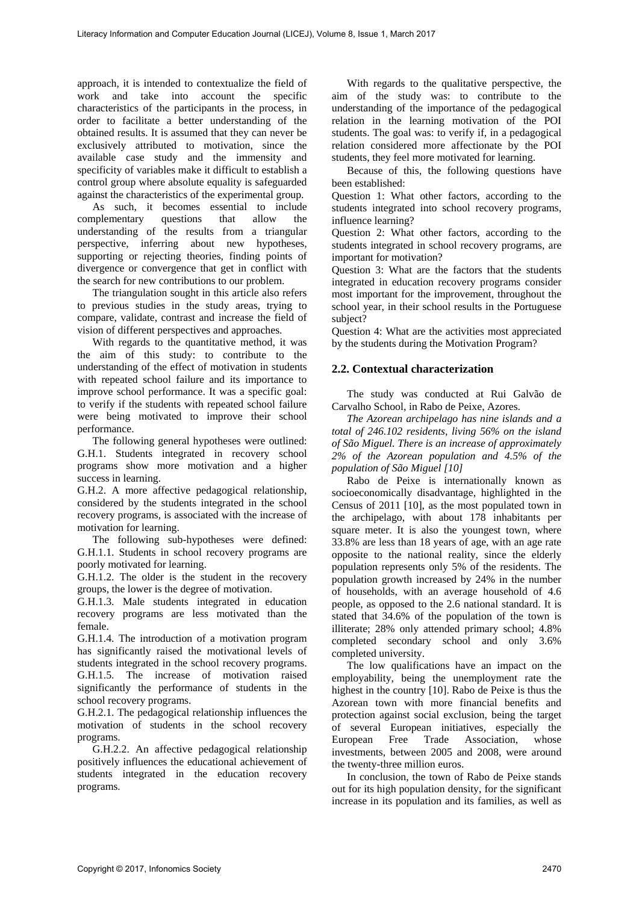approach, it is intended to contextualize the field of work and take into account the specific characteristics of the participants in the process, in order to facilitate a better understanding of the obtained results. It is assumed that they can never be exclusively attributed to motivation, since the available case study and the immensity and specificity of variables make it difficult to establish a control group where absolute equality is safeguarded against the characteristics of the experimental group.

As such, it becomes essential to include complementary questions that allow the understanding of the results from a triangular perspective, inferring about new hypotheses, supporting or rejecting theories, finding points of divergence or convergence that get in conflict with the search for new contributions to our problem.

The triangulation sought in this article also refers to previous studies in the study areas, trying to compare, validate, contrast and increase the field of vision of different perspectives and approaches.

With regards to the quantitative method, it was the aim of this study: to contribute to the understanding of the effect of motivation in students with repeated school failure and its importance to improve school performance. It was a specific goal: to verify if the students with repeated school failure were being motivated to improve their school performance.

The following general hypotheses were outlined: G.H.1. Students integrated in recovery school programs show more motivation and a higher success in learning.

G.H.2. A more affective pedagogical relationship, considered by the students integrated in the school recovery programs, is associated with the increase of motivation for learning.

The following sub-hypotheses were defined: G.H.1.1. Students in school recovery programs are poorly motivated for learning.

G.H.1.2. The older is the student in the recovery groups, the lower is the degree of motivation.

G.H.1.3. Male students integrated in education recovery programs are less motivated than the female.

G.H.1.4. The introduction of a motivation program has significantly raised the motivational levels of students integrated in the school recovery programs. G.H.1.5. The increase of motivation raised significantly the performance of students in the school recovery programs.

G.H.2.1. The pedagogical relationship influences the motivation of students in the school recovery programs.

G.H.2.2. An affective pedagogical relationship positively influences the educational achievement of students integrated in the education recovery programs.

With regards to the qualitative perspective, the aim of the study was: to contribute to the understanding of the importance of the pedagogical relation in the learning motivation of the POI students. The goal was: to verify if, in a pedagogical relation considered more affectionate by the POI students, they feel more motivated for learning.

Because of this, the following questions have been established:

Question 1: What other factors, according to the students integrated into school recovery programs, influence learning?

Question 2: What other factors, according to the students integrated in school recovery programs, are important for motivation?

Question 3: What are the factors that the students integrated in education recovery programs consider most important for the improvement, throughout the school year, in their school results in the Portuguese subject?

Question 4: What are the activities most appreciated by the students during the Motivation Program?

#### **2.2. Contextual characterization**

The study was conducted at Rui Galvão de Carvalho School, in Rabo de Peixe, Azores.

*The Azorean archipelago has nine islands and a total of 246.102 residents, living 56% on the island of São Miguel. There is an increase of approximately 2% of the Azorean population and 4.5% of the population of São Miguel [10]* 

Rabo de Peixe is internationally known as socioeconomically disadvantage, highlighted in the Census of 2011 [10], as the most populated town in the archipelago, with about 178 inhabitants per square meter. It is also the youngest town, where 33.8% are less than 18 years of age, with an age rate opposite to the national reality, since the elderly population represents only 5% of the residents. The population growth increased by 24% in the number of households, with an average household of 4.6 people, as opposed to the 2.6 national standard. It is stated that 34.6% of the population of the town is illiterate; 28% only attended primary school; 4.8% completed secondary school and only 3.6% completed university.

The low qualifications have an impact on the employability, being the unemployment rate the highest in the country [10]. Rabo de Peixe is thus the Azorean town with more financial benefits and protection against social exclusion, being the target of several European initiatives, especially the European Free Trade Association, whose investments, between 2005 and 2008, were around the twenty-three million euros.

In conclusion, the town of Rabo de Peixe stands out for its high population density, for the significant increase in its population and its families, as well as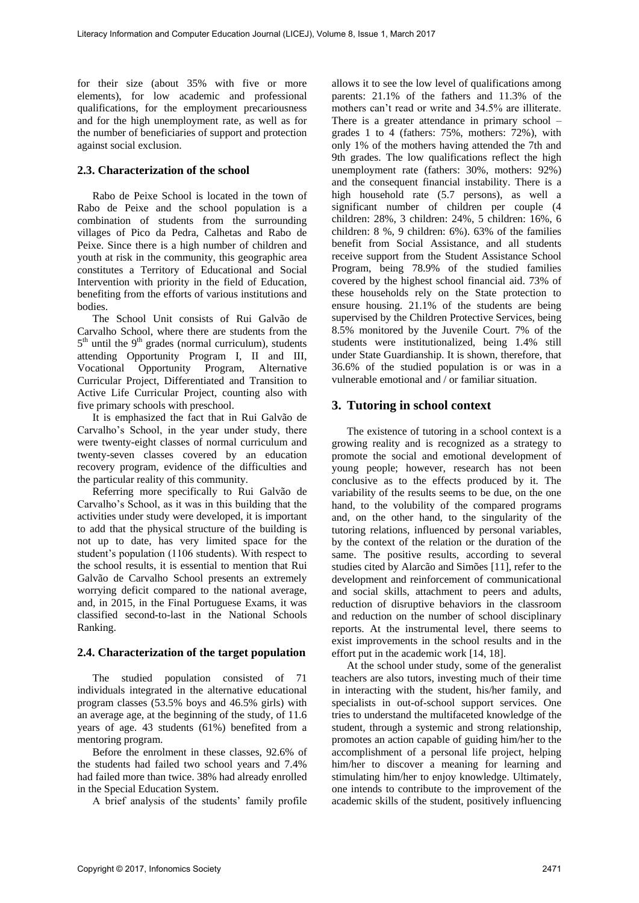for their size (about 35% with five or more elements), for low academic and professional qualifications, for the employment precariousness and for the high unemployment rate, as well as for the number of beneficiaries of support and protection against social exclusion.

#### **2.3. Characterization of the school**

Rabo de Peixe School is located in the town of Rabo de Peixe and the school population is a combination of students from the surrounding villages of Pico da Pedra, Calhetas and Rabo de Peixe. Since there is a high number of children and youth at risk in the community, this geographic area constitutes a Territory of Educational and Social Intervention with priority in the field of Education, benefiting from the efforts of various institutions and bodies.

The School Unit consists of Rui Galvão de Carvalho School, where there are students from the  $5<sup>th</sup>$  until the  $9<sup>th</sup>$  grades (normal curriculum), students attending Opportunity Program I, II and III, Vocational Opportunity Program, Alternative Curricular Project, Differentiated and Transition to Active Life Curricular Project, counting also with five primary schools with preschool.

It is emphasized the fact that in Rui Galvão de Carvalho's School, in the year under study, there were twenty-eight classes of normal curriculum and twenty-seven classes covered by an education recovery program, evidence of the difficulties and the particular reality of this community.

Referring more specifically to Rui Galvão de Carvalho's School, as it was in this building that the activities under study were developed, it is important to add that the physical structure of the building is not up to date, has very limited space for the student's population (1106 students). With respect to the school results, it is essential to mention that Rui Galvão de Carvalho School presents an extremely worrying deficit compared to the national average, and, in 2015, in the Final Portuguese Exams, it was classified second-to-last in the National Schools Ranking.

#### **2.4. Characterization of the target population**

The studied population consisted of 71 individuals integrated in the alternative educational program classes (53.5% boys and 46.5% girls) with an average age, at the beginning of the study, of 11.6 years of age. 43 students (61%) benefited from a mentoring program.

Before the enrolment in these classes, 92.6% of the students had failed two school years and 7.4% had failed more than twice. 38% had already enrolled in the Special Education System.

A brief analysis of the students' family profile

allows it to see the low level of qualifications among parents: 21.1% of the fathers and 11.3% of the mothers can't read or write and 34.5% are illiterate. There is a greater attendance in primary school – grades 1 to 4 (fathers: 75%, mothers: 72%), with only 1% of the mothers having attended the 7th and 9th grades. The low qualifications reflect the high unemployment rate (fathers: 30%, mothers: 92%) and the consequent financial instability. There is a high household rate (5.7 persons), as well a significant number of children per couple (4 children: 28%, 3 children: 24%, 5 children: 16%, 6 children: 8 %, 9 children: 6%). 63% of the families benefit from Social Assistance, and all students receive support from the Student Assistance School Program, being 78.9% of the studied families covered by the highest school financial aid. 73% of these households rely on the State protection to ensure housing. 21.1% of the students are being supervised by the Children Protective Services, being 8.5% monitored by the Juvenile Court. 7% of the students were institutionalized, being 1.4% still under State Guardianship. It is shown, therefore, that 36.6% of the studied population is or was in a vulnerable emotional and / or familiar situation.

## **3. Tutoring in school context**

The existence of tutoring in a school context is a growing reality and is recognized as a strategy to promote the social and emotional development of young people; however, research has not been conclusive as to the effects produced by it. The variability of the results seems to be due, on the one hand, to the volubility of the compared programs and, on the other hand, to the singularity of the tutoring relations, influenced by personal variables, by the context of the relation or the duration of the same. The positive results, according to several studies cited by Alarcão and Simões [11], refer to the development and reinforcement of communicational and social skills, attachment to peers and adults, reduction of disruptive behaviors in the classroom and reduction on the number of school disciplinary reports. At the instrumental level, there seems to exist improvements in the school results and in the effort put in the academic work [14, 18].

At the school under study, some of the generalist teachers are also tutors, investing much of their time in interacting with the student, his/her family, and specialists in out-of-school support services. One tries to understand the multifaceted knowledge of the student, through a systemic and strong relationship, promotes an action capable of guiding him/her to the accomplishment of a personal life project, helping him/her to discover a meaning for learning and stimulating him/her to enjoy knowledge. Ultimately, one intends to contribute to the improvement of the academic skills of the student, positively influencing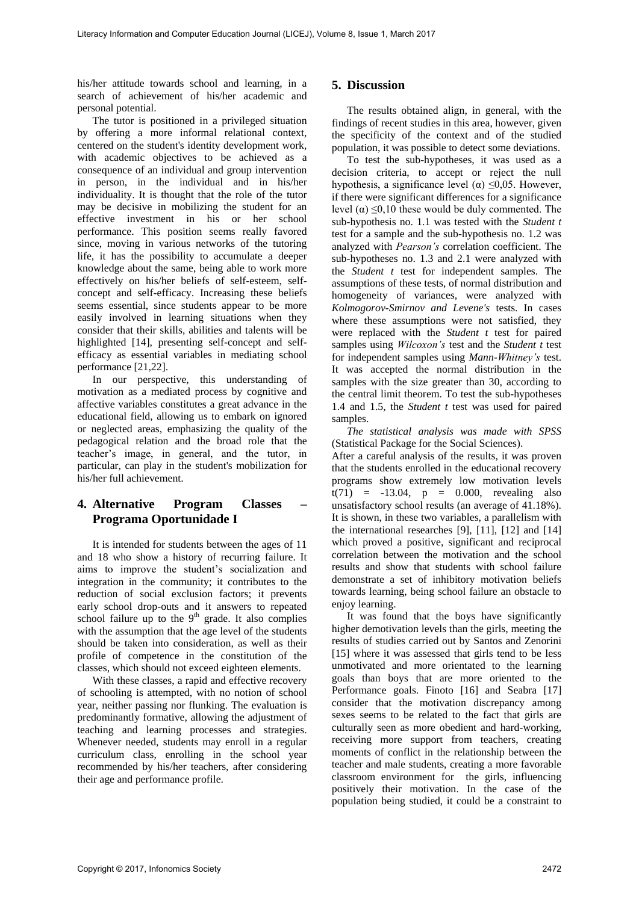his/her attitude towards school and learning, in a search of achievement of his/her academic and personal potential.

The tutor is positioned in a privileged situation by offering a more informal relational context, centered on the student's identity development work, with academic objectives to be achieved as a consequence of an individual and group intervention in person, in the individual and in his/her individuality. It is thought that the role of the tutor may be decisive in mobilizing the student for an effective investment in his or her school performance. This position seems really favored since, moving in various networks of the tutoring life, it has the possibility to accumulate a deeper knowledge about the same, being able to work more effectively on his/her beliefs of self-esteem, selfconcept and self-efficacy. Increasing these beliefs seems essential, since students appear to be more easily involved in learning situations when they consider that their skills, abilities and talents will be highlighted [14], presenting self-concept and selfefficacy as essential variables in mediating school performance [21,22].

In our perspective, this understanding of motivation as a mediated process by cognitive and affective variables constitutes a great advance in the educational field, allowing us to embark on ignored or neglected areas, emphasizing the quality of the pedagogical relation and the broad role that the teacher's image, in general, and the tutor, in particular, can play in the student's mobilization for his/her full achievement.

## **4. Alternative Program Classes – Programa Oportunidade I**

It is intended for students between the ages of 11 and 18 who show a history of recurring failure. It aims to improve the student's socialization and integration in the community; it contributes to the reduction of social exclusion factors; it prevents early school drop-outs and it answers to repeated school failure up to the  $9<sup>th</sup>$  grade. It also complies with the assumption that the age level of the students should be taken into consideration, as well as their profile of competence in the constitution of the classes, which should not exceed eighteen elements.

With these classes, a rapid and effective recovery of schooling is attempted, with no notion of school year, neither passing nor flunking. The evaluation is predominantly formative, allowing the adjustment of teaching and learning processes and strategies. Whenever needed, students may enroll in a regular curriculum class, enrolling in the school year recommended by his/her teachers, after considering their age and performance profile.

## **5. Discussion**

The results obtained align, in general, with the findings of recent studies in this area, however, given the specificity of the context and of the studied population, it was possible to detect some deviations.

To test the sub-hypotheses, it was used as a decision criteria, to accept or reject the null hypothesis, a significance level ( $\alpha$ )  $\leq 0.05$ . However, if there were significant differences for a significance level ( $\alpha$ ) ≤0,10 these would be duly commented. The sub-hypothesis no. 1.1 was tested with the *Student t* test for a sample and the sub-hypothesis no. 1.2 was analyzed with *Pearson's* correlation coefficient. The sub-hypotheses no. 1.3 and 2.1 were analyzed with the *Student t* test for independent samples. The assumptions of these tests, of normal distribution and homogeneity of variances, were analyzed with *Kolmogorov-Smirnov and Levene's* tests. In cases where these assumptions were not satisfied, they were replaced with the *Student t* test for paired samples using *Wilcoxon's* test and the *Student t* test for independent samples using *Mann-Whitney's* test. It was accepted the normal distribution in the samples with the size greater than 30, according to the central limit theorem. To test the sub-hypotheses 1.4 and 1.5, the *Student t* test was used for paired samples.

*The statistical analysis was made with SPSS* (Statistical Package for the Social Sciences).

After a careful analysis of the results, it was proven that the students enrolled in the educational recovery programs show extremely low motivation levels  $t(71) = -13.04$ ,  $p = 0.000$ , revealing also unsatisfactory school results (an average of 41.18%). It is shown, in these two variables, a parallelism with the international researches [9], [11], [12] and [14] which proved a positive, significant and reciprocal correlation between the motivation and the school results and show that students with school failure demonstrate a set of inhibitory motivation beliefs towards learning, being school failure an obstacle to enjoy learning.

It was found that the boys have significantly higher demotivation levels than the girls, meeting the results of studies carried out by Santos and Zenorini [15] where it was assessed that girls tend to be less unmotivated and more orientated to the learning goals than boys that are more oriented to the Performance goals. Finoto [16] and Seabra [17] consider that the motivation discrepancy among sexes seems to be related to the fact that girls are culturally seen as more obedient and hard-working, receiving more support from teachers, creating moments of conflict in the relationship between the teacher and male students, creating a more favorable classroom environment for the girls, influencing positively their motivation. In the case of the population being studied, it could be a constraint to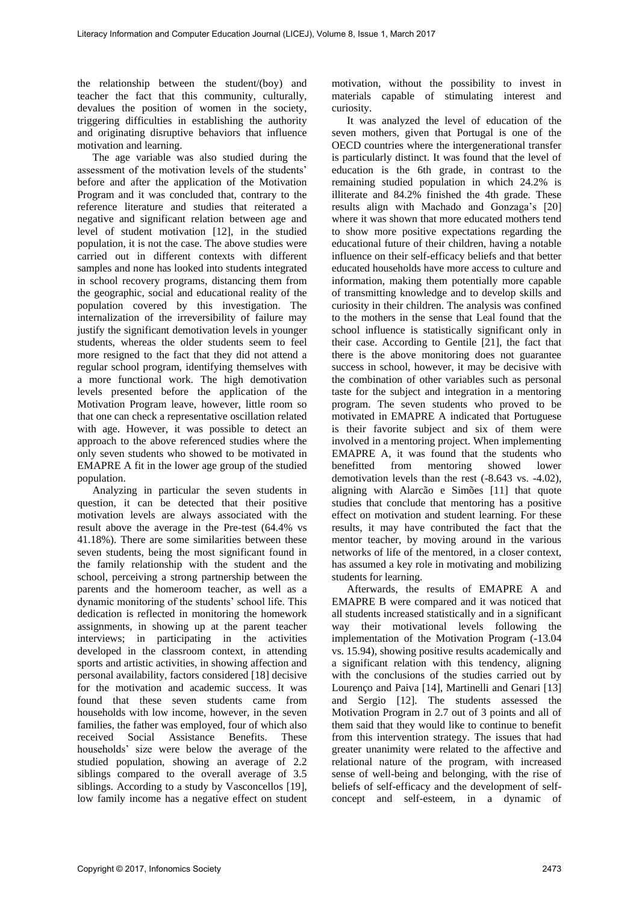the relationship between the student/(boy) and teacher the fact that this community, culturally, devalues the position of women in the society, triggering difficulties in establishing the authority and originating disruptive behaviors that influence motivation and learning.

The age variable was also studied during the assessment of the motivation levels of the students' before and after the application of the Motivation Program and it was concluded that, contrary to the reference literature and studies that reiterated a negative and significant relation between age and level of student motivation [12], in the studied population, it is not the case. The above studies were carried out in different contexts with different samples and none has looked into students integrated in school recovery programs, distancing them from the geographic, social and educational reality of the population covered by this investigation. The internalization of the irreversibility of failure may justify the significant demotivation levels in younger students, whereas the older students seem to feel more resigned to the fact that they did not attend a regular school program, identifying themselves with a more functional work. The high demotivation levels presented before the application of the Motivation Program leave, however, little room so that one can check a representative oscillation related with age. However, it was possible to detect an approach to the above referenced studies where the only seven students who showed to be motivated in EMAPRE A fit in the lower age group of the studied population.

Analyzing in particular the seven students in question, it can be detected that their positive motivation levels are always associated with the result above the average in the Pre-test (64.4% vs 41.18%). There are some similarities between these seven students, being the most significant found in the family relationship with the student and the school, perceiving a strong partnership between the parents and the homeroom teacher, as well as a dynamic monitoring of the students' school life. This dedication is reflected in monitoring the homework assignments, in showing up at the parent teacher interviews; in participating in the activities developed in the classroom context, in attending sports and artistic activities, in showing affection and personal availability, factors considered [18] decisive for the motivation and academic success. It was found that these seven students came from households with low income, however, in the seven families, the father was employed, four of which also received Social Assistance Benefits. These households' size were below the average of the studied population, showing an average of 2.2 siblings compared to the overall average of 3.5 siblings. According to a study by Vasconcellos [19], low family income has a negative effect on student

motivation, without the possibility to invest in materials capable of stimulating interest and curiosity.

It was analyzed the level of education of the seven mothers, given that Portugal is one of the OECD countries where the intergenerational transfer is particularly distinct. It was found that the level of education is the 6th grade, in contrast to the remaining studied population in which 24.2% is illiterate and 84.2% finished the 4th grade. These results align with Machado and Gonzaga's [20] where it was shown that more educated mothers tend to show more positive expectations regarding the educational future of their children, having a notable influence on their self-efficacy beliefs and that better educated households have more access to culture and information, making them potentially more capable of transmitting knowledge and to develop skills and curiosity in their children. The analysis was confined to the mothers in the sense that Leal found that the school influence is statistically significant only in their case. According to Gentile [21], the fact that there is the above monitoring does not guarantee success in school, however, it may be decisive with the combination of other variables such as personal taste for the subject and integration in a mentoring program. The seven students who proved to be motivated in EMAPRE A indicated that Portuguese is their favorite subject and six of them were involved in a mentoring project. When implementing EMAPRE A, it was found that the students who benefitted from mentoring showed lower demotivation levels than the rest (-8.643 vs. -4.02), aligning with Alarcão e Simões [11] that quote studies that conclude that mentoring has a positive effect on motivation and student learning. For these results, it may have contributed the fact that the mentor teacher, by moving around in the various networks of life of the mentored, in a closer context, has assumed a key role in motivating and mobilizing students for learning.

Afterwards, the results of EMAPRE A and EMAPRE B were compared and it was noticed that all students increased statistically and in a significant way their motivational levels following the implementation of the Motivation Program (-13.04 vs. 15.94), showing positive results academically and a significant relation with this tendency, aligning with the conclusions of the studies carried out by Lourenço and Paiva [14], Martinelli and Genari [13] and Sergio [12]. The students assessed the Motivation Program in 2.7 out of 3 points and all of them said that they would like to continue to benefit from this intervention strategy. The issues that had greater unanimity were related to the affective and relational nature of the program, with increased sense of well-being and belonging, with the rise of beliefs of self-efficacy and the development of selfconcept and self-esteem, in a dynamic of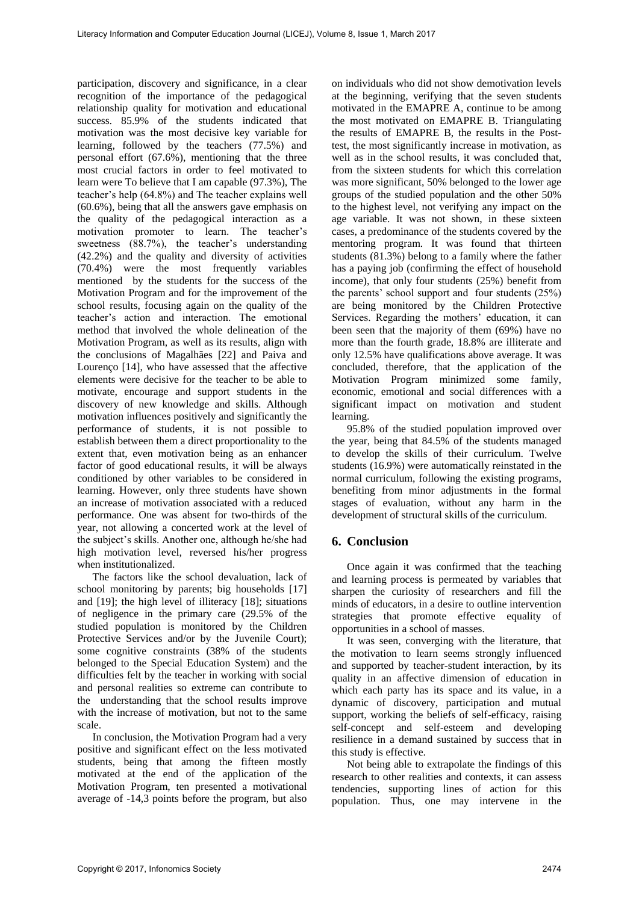participation, discovery and significance, in a clear recognition of the importance of the pedagogical relationship quality for motivation and educational success. 85.9% of the students indicated that motivation was the most decisive key variable for learning, followed by the teachers (77.5%) and personal effort (67.6%), mentioning that the three most crucial factors in order to feel motivated to learn were To believe that I am capable (97.3%), The teacher's help (64.8%) and The teacher explains well (60.6%), being that all the answers gave emphasis on the quality of the pedagogical interaction as a motivation promoter to learn. The teacher's sweetness (88.7%), the teacher's understanding (42.2%) and the quality and diversity of activities (70.4%) were the most frequently variables mentioned by the students for the success of the Motivation Program and for the improvement of the school results, focusing again on the quality of the teacher's action and interaction. The emotional method that involved the whole delineation of the Motivation Program, as well as its results, align with the conclusions of Magalhães [22] and Paiva and Lourenço [14], who have assessed that the affective elements were decisive for the teacher to be able to motivate, encourage and support students in the discovery of new knowledge and skills. Although motivation influences positively and significantly the performance of students, it is not possible to establish between them a direct proportionality to the extent that, even motivation being as an enhancer factor of good educational results, it will be always conditioned by other variables to be considered in learning. However, only three students have shown an increase of motivation associated with a reduced performance. One was absent for two-thirds of the year, not allowing a concerted work at the level of the subject's skills. Another one, although he/she had high motivation level, reversed his/her progress when institutionalized.

The factors like the school devaluation, lack of school monitoring by parents; big households [17] and [19]; the high level of illiteracy [18]; situations of negligence in the primary care (29.5% of the studied population is monitored by the Children Protective Services and/or by the Juvenile Court); some cognitive constraints (38% of the students belonged to the Special Education System) and the difficulties felt by the teacher in working with social and personal realities so extreme can contribute to the understanding that the school results improve with the increase of motivation, but not to the same scale.

In conclusion, the Motivation Program had a very positive and significant effect on the less motivated students, being that among the fifteen mostly motivated at the end of the application of the Motivation Program, ten presented a motivational average of -14,3 points before the program, but also

on individuals who did not show demotivation levels at the beginning, verifying that the seven students motivated in the EMAPRE A, continue to be among the most motivated on EMAPRE B. Triangulating the results of EMAPRE B, the results in the Posttest, the most significantly increase in motivation, as well as in the school results, it was concluded that, from the sixteen students for which this correlation was more significant, 50% belonged to the lower age groups of the studied population and the other 50% to the highest level, not verifying any impact on the age variable. It was not shown, in these sixteen cases, a predominance of the students covered by the mentoring program. It was found that thirteen students (81.3%) belong to a family where the father has a paying job (confirming the effect of household income), that only four students (25%) benefit from the parents' school support and four students (25%) are being monitored by the Children Protective Services. Regarding the mothers' education, it can been seen that the majority of them (69%) have no more than the fourth grade, 18.8% are illiterate and only 12.5% have qualifications above average. It was concluded, therefore, that the application of the Motivation Program minimized some family, economic, emotional and social differences with a significant impact on motivation and student learning.

95.8% of the studied population improved over the year, being that 84.5% of the students managed to develop the skills of their curriculum. Twelve students (16.9%) were automatically reinstated in the normal curriculum, following the existing programs, benefiting from minor adjustments in the formal stages of evaluation, without any harm in the development of structural skills of the curriculum.

## **6. Conclusion**

Once again it was confirmed that the teaching and learning process is permeated by variables that sharpen the curiosity of researchers and fill the minds of educators, in a desire to outline intervention strategies that promote effective equality of opportunities in a school of masses.

It was seen, converging with the literature, that the motivation to learn seems strongly influenced and supported by teacher-student interaction, by its quality in an affective dimension of education in which each party has its space and its value, in a dynamic of discovery, participation and mutual support, working the beliefs of self-efficacy, raising self-concept and self-esteem and developing resilience in a demand sustained by success that in this study is effective.

Not being able to extrapolate the findings of this research to other realities and contexts, it can assess tendencies, supporting lines of action for this population. Thus, one may intervene in the